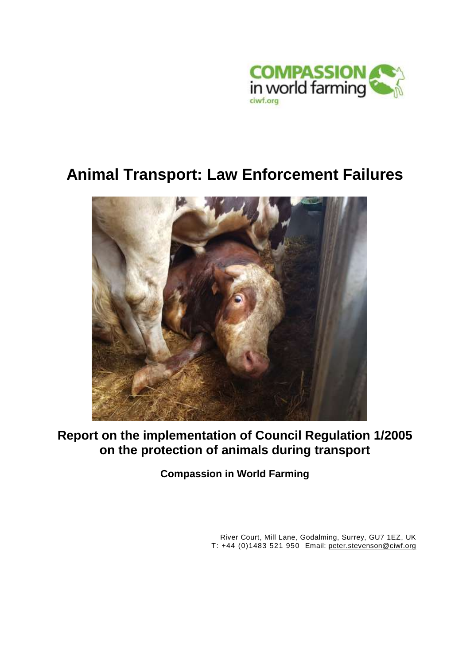

# **Animal Transport: Law Enforcement Failures**



**Report on the implementation of Council Regulation 1/2005 on the protection of animals during transport**

**Compassion in World Farming**

River Court, Mill Lane, Godalming, Surrey, GU7 1EZ, UK T: +44 (0)1483 521 950 Email: [peter.stevenson@ciwf.org](mailto:peter.stevenson@ciwf.org)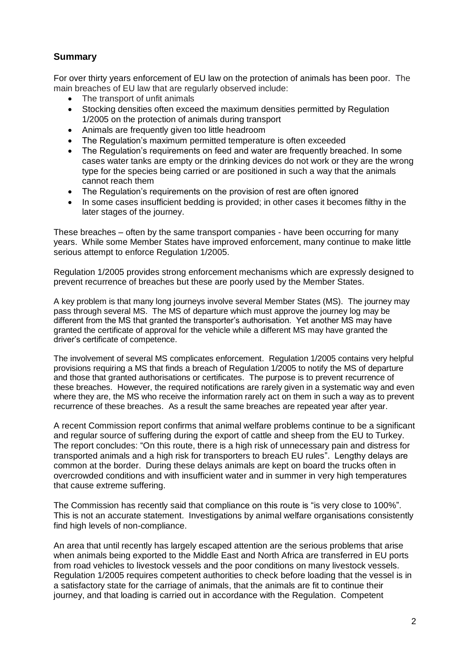# **Summary**

For over thirty years enforcement of EU law on the protection of animals has been poor. The main breaches of EU law that are regularly observed include:

- The transport of unfit animals
- Stocking densities often exceed the maximum densities permitted by Regulation 1/2005 on the protection of animals during transport
- Animals are frequently given too little headroom
- The Regulation's maximum permitted temperature is often exceeded
- The Regulation's requirements on feed and water are frequently breached. In some cases water tanks are empty or the drinking devices do not work or they are the wrong type for the species being carried or are positioned in such a way that the animals cannot reach them
- The Regulation's requirements on the provision of rest are often ignored
- In some cases insufficient bedding is provided; in other cases it becomes filthy in the later stages of the journey.

These breaches – often by the same transport companies - have been occurring for many years. While some Member States have improved enforcement, many continue to make little serious attempt to enforce Regulation 1/2005.

Regulation 1/2005 provides strong enforcement mechanisms which are expressly designed to prevent recurrence of breaches but these are poorly used by the Member States.

A key problem is that many long journeys involve several Member States (MS). The journey may pass through several MS. The MS of departure which must approve the journey log may be different from the MS that granted the transporter's authorisation. Yet another MS may have granted the certificate of approval for the vehicle while a different MS may have granted the driver's certificate of competence.

The involvement of several MS complicates enforcement. Regulation 1/2005 contains very helpful provisions requiring a MS that finds a breach of Regulation 1/2005 to notify the MS of departure and those that granted authorisations or certificates. The purpose is to prevent recurrence of these breaches. However, the required notifications are rarely given in a systematic way and even where they are, the MS who receive the information rarely act on them in such a way as to prevent recurrence of these breaches. As a result the same breaches are repeated year after year.

A recent Commission report confirms that animal welfare problems continue to be a significant and regular source of suffering during the export of cattle and sheep from the EU to Turkey. The report concludes: "On this route, there is a high risk of unnecessary pain and distress for transported animals and a high risk for transporters to breach EU rules". Lengthy delays are common at the border. During these delays animals are kept on board the trucks often in overcrowded conditions and with insufficient water and in summer in very high temperatures that cause extreme suffering.

The Commission has recently said that compliance on this route is "is very close to 100%". This is not an accurate statement. Investigations by animal welfare organisations consistently find high levels of non-compliance.

An area that until recently has largely escaped attention are the serious problems that arise when animals being exported to the Middle East and North Africa are transferred in EU ports from road vehicles to livestock vessels and the poor conditions on many livestock vessels. Regulation 1/2005 requires competent authorities to check before loading that the vessel is in a satisfactory state for the carriage of animals, that the animals are fit to continue their journey, and that loading is carried out in accordance with the Regulation. Competent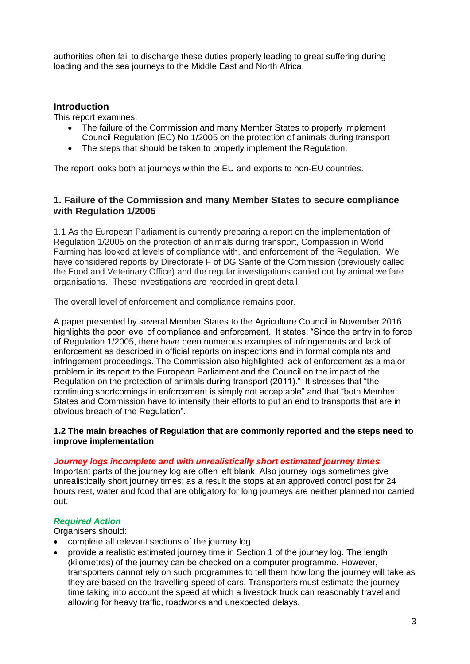authorities often fail to discharge these duties properly leading to great suffering during loading and the sea journeys to the Middle East and North Africa.

## **Introduction**

This report examines:

- The failure of the Commission and many Member States to properly implement Council Regulation (EC) No 1/2005 on the protection of animals during transport
- The steps that should be taken to properly implement the Regulation.

The report looks both at journeys within the EU and exports to non-EU countries.

## **1. Failure of the Commission and many Member States to secure compliance with Regulation 1/2005**

1.1 As the European Parliament is currently preparing a report on the implementation of Regulation 1/2005 on the protection of animals during transport, Compassion in World Farming has looked at levels of compliance with, and enforcement of, the Regulation. We have considered reports by Directorate F of DG Sante of the Commission (previously called the Food and Veterinary Office) and the regular investigations carried out by animal welfare organisations. These investigations are recorded in great detail.

The overall level of enforcement and compliance remains poor.

A paper presented by several Member States to the Agriculture Council in November 2016 highlights the poor level of compliance and enforcement. It states: "Since the entry in to force of Regulation 1/2005, there have been numerous examples of infringements and lack of enforcement as described in official reports on inspections and in formal complaints and infringement proceedings. The Commission also highlighted lack of enforcement as a major problem in its report to the European Parliament and the Council on the impact of the Regulation on the protection of animals during transport (2011)." It stresses that "the continuing shortcomings in enforcement is simply not acceptable" and that "both Member States and Commission have to intensify their efforts to put an end to transports that are in obvious breach of the Regulation".

## **1.2 The main breaches of Regulation that are commonly reported and the steps need to improve implementation**

## *Journey logs incomplete and with unrealistically short estimated journey times*

Important parts of the journey log are often left blank. Also journey logs sometimes give unrealistically short journey times; as a result the stops at an approved control post for 24 hours rest, water and food that are obligatory for long journeys are neither planned nor carried out.

## *Required Action*

Organisers should:

- complete all relevant sections of the journey log
- provide a realistic estimated journey time in Section 1 of the journey log. The length (kilometres) of the journey can be checked on a computer programme. However, transporters cannot rely on such programmes to tell them how long the journey will take as they are based on the travelling speed of cars. Transporters must estimate the journey time taking into account the speed at which a livestock truck can reasonably travel and allowing for heavy traffic, roadworks and unexpected delays.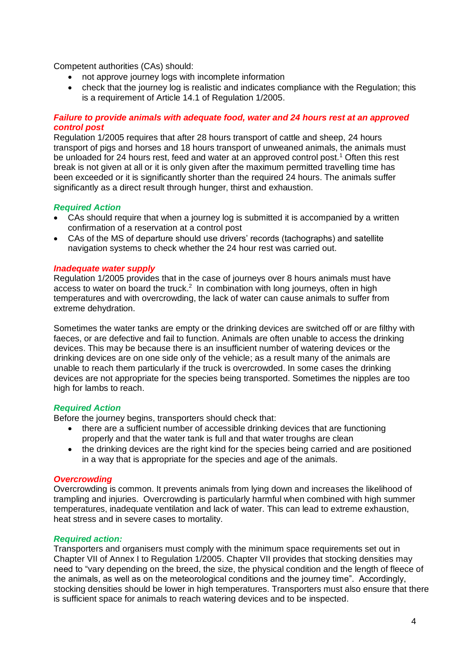Competent authorities (CAs) should:

- not approve journey logs with incomplete information
- check that the journey log is realistic and indicates compliance with the Regulation; this is a requirement of Article 14.1 of Regulation 1/2005.

## *Failure to provide animals with adequate food, water and 24 hours rest at an approved control post*

Regulation 1/2005 requires that after 28 hours transport of cattle and sheep, 24 hours transport of pigs and horses and 18 hours transport of unweaned animals, the animals must be unloaded for 24 hours rest, feed and water at an approved control post.<sup>1</sup> Often this rest break is not given at all or it is only given after the maximum permitted travelling time has been exceeded or it is significantly shorter than the required 24 hours. The animals suffer significantly as a direct result through hunger, thirst and exhaustion.

#### *Required Action*

- CAs should require that when a journey log is submitted it is accompanied by a written confirmation of a reservation at a control post
- CAs of the MS of departure should use drivers' records (tachographs) and satellite navigation systems to check whether the 24 hour rest was carried out.

#### *Inadequate water supply*

Regulation 1/2005 provides that in the case of journeys over 8 hours animals must have access to water on board the truck.<sup>2</sup> In combination with long journeys, often in high temperatures and with overcrowding, the lack of water can cause animals to suffer from extreme dehydration.

Sometimes the water tanks are empty or the drinking devices are switched off or are filthy with faeces, or are defective and fail to function. Animals are often unable to access the drinking devices. This may be because there is an insufficient number of watering devices or the drinking devices are on one side only of the vehicle; as a result many of the animals are unable to reach them particularly if the truck is overcrowded. In some cases the drinking devices are not appropriate for the species being transported. Sometimes the nipples are too high for lambs to reach.

## *Required Action*

Before the journey begins, transporters should check that:

- there are a sufficient number of accessible drinking devices that are functioning properly and that the water tank is full and that water troughs are clean
- the drinking devices are the right kind for the species being carried and are positioned in a way that is appropriate for the species and age of the animals.

## *Overcrowding*

Overcrowding is common. It prevents animals from lying down and increases the likelihood of trampling and injuries. Overcrowding is particularly harmful when combined with high summer temperatures, inadequate ventilation and lack of water. This can lead to extreme exhaustion, heat stress and in severe cases to mortality.

## *Required action:*

Transporters and organisers must comply with the minimum space requirements set out in Chapter VII of Annex I to Regulation 1/2005. Chapter VII provides that stocking densities may need to "vary depending on the breed, the size, the physical condition and the length of fleece of the animals, as well as on the meteorological conditions and the journey time". Accordingly, stocking densities should be lower in high temperatures. Transporters must also ensure that there is sufficient space for animals to reach watering devices and to be inspected.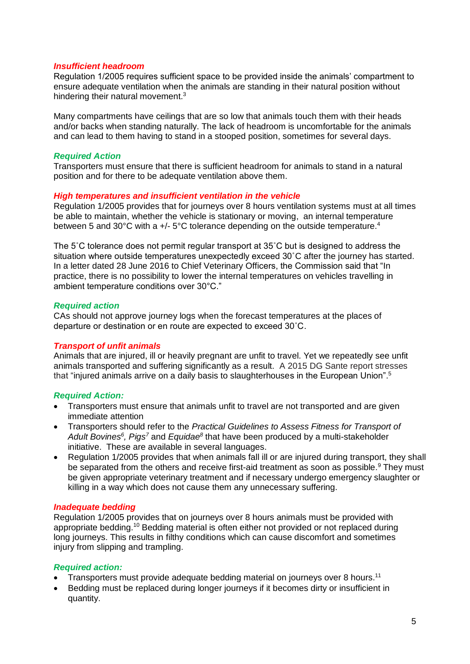## *Insufficient headroom*

Regulation 1/2005 requires sufficient space to be provided inside the animals' compartment to ensure adequate ventilation when the animals are standing in their natural position without hindering their natural movement.<sup>3</sup>

Many compartments have ceilings that are so low that animals touch them with their heads and/or backs when standing naturally. The lack of headroom is uncomfortable for the animals and can lead to them having to stand in a stooped position, sometimes for several days.

## *Required Action*

Transporters must ensure that there is sufficient headroom for animals to stand in a natural position and for there to be adequate ventilation above them.

## *High temperatures and insufficient ventilation in the vehicle*

Regulation 1/2005 provides that for journeys over 8 hours ventilation systems must at all times be able to maintain, whether the vehicle is stationary or moving, an internal temperature between 5 and 30°C with a +/- 5°C tolerance depending on the outside temperature.<sup>4</sup>

The 5˚C tolerance does not permit regular transport at 35˚C but is designed to address the situation where outside temperatures unexpectedly exceed 30˚C after the journey has started. In a letter dated 28 June 2016 to Chief Veterinary Officers, the Commission said that "In practice, there is no possibility to lower the internal temperatures on vehicles travelling in ambient temperature conditions over 30°C."

## *Required action*

CAs should not approve journey logs when the forecast temperatures at the places of departure or destination or en route are expected to exceed 30˚C.

## *Transport of unfit animals*

Animals that are injured, ill or heavily pregnant are unfit to travel. Yet we repeatedly see unfit animals transported and suffering significantly as a result. A 2015 DG Sante report stresses that "injured animals arrive on a daily basis to slaughterhouses in the European Union".<sup>5</sup>

## *Required Action:*

- Transporters must ensure that animals unfit to travel are not transported and are given immediate attention
- Transporters should refer to the *Practical Guidelines to Assess Fitness for Transport of Adult Bovines<sup>6</sup> , Pigs<sup>7</sup>* and *Equidae<sup>8</sup>* that have been produced by a multi-stakeholder initiative. These are available in several languages.
- Regulation 1/2005 provides that when animals fall ill or are injured during transport, they shall be separated from the others and receive first-aid treatment as soon as possible.<sup>9</sup> They must be given appropriate veterinary treatment and if necessary undergo emergency slaughter or killing in a way which does not cause them any unnecessary suffering.

## *Inadequate bedding*

Regulation 1/2005 provides that on journeys over 8 hours animals must be provided with appropriate bedding.<sup>10</sup> Bedding material is often either not provided or not replaced during long journeys. This results in filthy conditions which can cause discomfort and sometimes injury from slipping and trampling.

#### *Required action:*

- Transporters must provide adequate bedding material on journeys over 8 hours.<sup>11</sup>
- Bedding must be replaced during longer journeys if it becomes dirty or insufficient in quantity.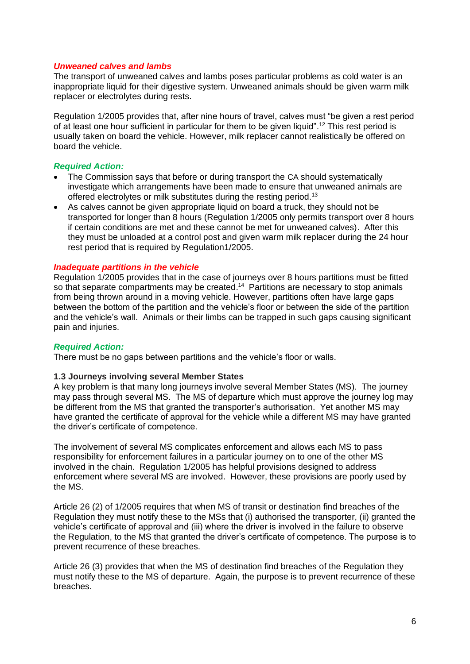#### *Unweaned calves and lambs*

The transport of unweaned calves and lambs poses particular problems as cold water is an inappropriate liquid for their digestive system. Unweaned animals should be given warm milk replacer or electrolytes during rests.

Regulation 1/2005 provides that, after nine hours of travel, calves must "be given a rest period of at least one hour sufficient in particular for them to be given liquid". <sup>12</sup> This rest period is usually taken on board the vehicle. However, milk replacer cannot realistically be offered on board the vehicle.

## *Required Action:*

- The Commission says that before or during transport the CA should systematically investigate which arrangements have been made to ensure that unweaned animals are offered electrolytes or milk substitutes during the resting period.<sup>13</sup>
- As calves cannot be given appropriate liquid on board a truck, they should not be transported for longer than 8 hours (Regulation 1/2005 only permits transport over 8 hours if certain conditions are met and these cannot be met for unweaned calves). After this they must be unloaded at a control post and given warm milk replacer during the 24 hour rest period that is required by Regulation1/2005.

## *Inadequate partitions in the vehicle*

Regulation 1/2005 provides that in the case of journeys over 8 hours partitions must be fitted so that separate compartments may be created.<sup>14</sup> Partitions are necessary to stop animals from being thrown around in a moving vehicle. However, partitions often have large gaps between the bottom of the partition and the vehicle's floor or between the side of the partition and the vehicle's wall. Animals or their limbs can be trapped in such gaps causing significant pain and injuries.

#### *Required Action:*

There must be no gaps between partitions and the vehicle's floor or walls.

#### **1.3 Journeys involving several Member States**

A key problem is that many long journeys involve several Member States (MS). The journey may pass through several MS. The MS of departure which must approve the journey log may be different from the MS that granted the transporter's authorisation. Yet another MS may have granted the certificate of approval for the vehicle while a different MS may have granted the driver's certificate of competence.

The involvement of several MS complicates enforcement and allows each MS to pass responsibility for enforcement failures in a particular journey on to one of the other MS involved in the chain. Regulation 1/2005 has helpful provisions designed to address enforcement where several MS are involved. However, these provisions are poorly used by the MS.

Article 26 (2) of 1/2005 requires that when MS of transit or destination find breaches of the Regulation they must notify these to the MSs that (i) authorised the transporter, (ii) granted the vehicle's certificate of approval and (iii) where the driver is involved in the failure to observe the Regulation, to the MS that granted the driver's certificate of competence. The purpose is to prevent recurrence of these breaches.

Article 26 (3) provides that when the MS of destination find breaches of the Regulation they must notify these to the MS of departure. Again, the purpose is to prevent recurrence of these breaches.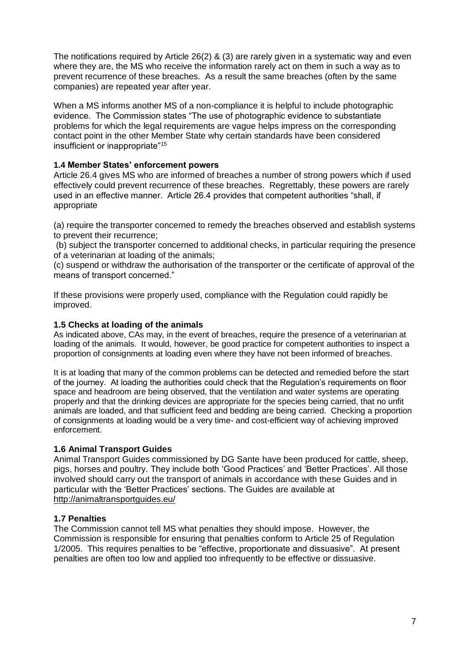The notifications required by Article 26(2) & (3) are rarely given in a systematic way and even where they are, the MS who receive the information rarely act on them in such a way as to prevent recurrence of these breaches. As a result the same breaches (often by the same companies) are repeated year after year.

When a MS informs another MS of a non-compliance it is helpful to include photographic evidence. The Commission states "The use of photographic evidence to substantiate problems for which the legal requirements are vague helps impress on the corresponding contact point in the other Member State why certain standards have been considered insufficient or inappropriate"<sup>15</sup>

## **1.4 Member States' enforcement powers**

Article 26.4 gives MS who are informed of breaches a number of strong powers which if used effectively could prevent recurrence of these breaches. Regrettably, these powers are rarely used in an effective manner. Article 26.4 provides that competent authorities "shall, if appropriate

(a) require the transporter concerned to remedy the breaches observed and establish systems to prevent their recurrence;

(b) subject the transporter concerned to additional checks, in particular requiring the presence of a veterinarian at loading of the animals;

(c) suspend or withdraw the authorisation of the transporter or the certificate of approval of the means of transport concerned."

If these provisions were properly used, compliance with the Regulation could rapidly be improved.

## **1.5 Checks at loading of the animals**

As indicated above, CAs may, in the event of breaches, require the presence of a veterinarian at loading of the animals. It would, however, be good practice for competent authorities to inspect a proportion of consignments at loading even where they have not been informed of breaches.

It is at loading that many of the common problems can be detected and remedied before the start of the journey. At loading the authorities could check that the Regulation's requirements on floor space and headroom are being observed, that the ventilation and water systems are operating properly and that the drinking devices are appropriate for the species being carried, that no unfit animals are loaded, and that sufficient feed and bedding are being carried. Checking a proportion of consignments at loading would be a very time- and cost-efficient way of achieving improved enforcement.

## **1.6 Animal Transport Guides**

Animal Transport Guides commissioned by DG Sante have been produced for cattle, sheep, pigs, horses and poultry. They include both 'Good Practices' and 'Better Practices'. All those involved should carry out the transport of animals in accordance with these Guides and in particular with the 'Better Practices' sections. The Guides are available at <http://animaltransportguides.eu/>

## **1.7 Penalties**

The Commission cannot tell MS what penalties they should impose. However, the Commission is responsible for ensuring that penalties conform to Article 25 of Regulation 1/2005. This requires penalties to be "effective, proportionate and dissuasive". At present penalties are often too low and applied too infrequently to be effective or dissuasive.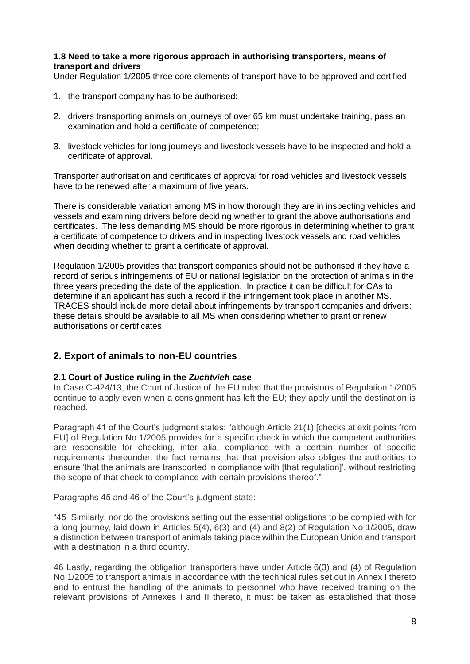## **1.8 Need to take a more rigorous approach in authorising transporters, means of transport and drivers**

Under Regulation 1/2005 three core elements of transport have to be approved and certified:

- 1. the transport company has to be authorised;
- 2. drivers transporting animals on journeys of over 65 km must undertake training, pass an examination and hold a certificate of competence;
- 3. livestock vehicles for long journeys and livestock vessels have to be inspected and hold a certificate of approval.

Transporter authorisation and certificates of approval for road vehicles and livestock vessels have to be renewed after a maximum of five years.

There is considerable variation among MS in how thorough they are in inspecting vehicles and vessels and examining drivers before deciding whether to grant the above authorisations and certificates. The less demanding MS should be more rigorous in determining whether to grant a certificate of competence to drivers and in inspecting livestock vessels and road vehicles when deciding whether to grant a certificate of approval.

Regulation 1/2005 provides that transport companies should not be authorised if they have a record of serious infringements of EU or national legislation on the protection of animals in the three years preceding the date of the application. In practice it can be difficult for CAs to determine if an applicant has such a record if the infringement took place in another MS. TRACES should include more detail about infringements by transport companies and drivers; these details should be available to all MS when considering whether to grant or renew authorisations or certificates.

# **2. Export of animals to non-EU countries**

## **2.1 Court of Justice ruling in the** *Zuchtvieh* **case**

In Case C-424/13, the Court of Justice of the EU ruled that the provisions of Regulation 1/2005 continue to apply even when a consignment has left the EU; they apply until the destination is reached.

Paragraph 41 of the Court's judgment states: "although Article 21(1) [checks at exit points from EU] of Regulation No 1/2005 provides for a specific check in which the competent authorities are responsible for checking, inter alia, compliance with a certain number of specific requirements thereunder, the fact remains that that provision also obliges the authorities to ensure 'that the animals are transported in compliance with [that regulation]', without restricting the scope of that check to compliance with certain provisions thereof."

Paragraphs 45 and 46 of the Court's judgment state:

"45 Similarly, nor do the provisions setting out the essential obligations to be complied with for a long journey, laid down in Articles 5(4), 6(3) and (4) and 8(2) of Regulation No 1/2005, draw a distinction between transport of animals taking place within the European Union and transport with a destination in a third country.

46 Lastly, regarding the obligation transporters have under Article 6(3) and (4) of Regulation No 1/2005 to transport animals in accordance with the technical rules set out in Annex I thereto and to entrust the handling of the animals to personnel who have received training on the relevant provisions of Annexes I and II thereto, it must be taken as established that those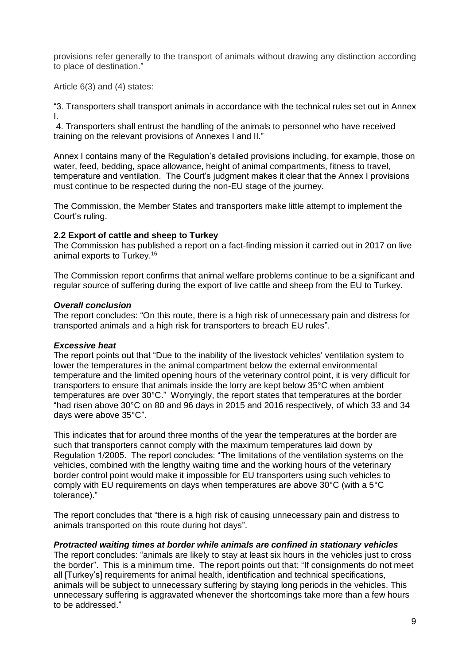provisions refer generally to the transport of animals without drawing any distinction according to place of destination."

Article 6(3) and (4) states:

"3. Transporters shall transport animals in accordance with the technical rules set out in Annex I.

4. Transporters shall entrust the handling of the animals to personnel who have received training on the relevant provisions of Annexes I and II."

Annex I contains many of the Regulation's detailed provisions including, for example, those on water, feed, bedding, space allowance, height of animal compartments, fitness to travel, temperature and ventilation. The Court's judgment makes it clear that the Annex I provisions must continue to be respected during the non-EU stage of the journey.

The Commission, the Member States and transporters make little attempt to implement the Court's ruling.

## **2.2 Export of cattle and sheep to Turkey**

The Commission has published a report on a fact-finding mission it carried out in 2017 on live animal exports to Turkey.<sup>16</sup>

The Commission report confirms that animal welfare problems continue to be a significant and regular source of suffering during the export of live cattle and sheep from the EU to Turkey.

## *Overall conclusion*

The report concludes: "On this route, there is a high risk of unnecessary pain and distress for transported animals and a high risk for transporters to breach EU rules".

#### *Excessive heat*

The report points out that "Due to the inability of the livestock vehicles' ventilation system to lower the temperatures in the animal compartment below the external environmental temperature and the limited opening hours of the veterinary control point, it is very difficult for transporters to ensure that animals inside the lorry are kept below 35°C when ambient temperatures are over 30°C." Worryingly, the report states that temperatures at the border "had risen above 30°C on 80 and 96 days in 2015 and 2016 respectively, of which 33 and 34 days were above 35°C".

This indicates that for around three months of the year the temperatures at the border are such that transporters cannot comply with the maximum temperatures laid down by Regulation 1/2005. The report concludes: "The limitations of the ventilation systems on the vehicles, combined with the lengthy waiting time and the working hours of the veterinary border control point would make it impossible for EU transporters using such vehicles to comply with EU requirements on days when temperatures are above 30°C (with a 5°C tolerance)."

The report concludes that "there is a high risk of causing unnecessary pain and distress to animals transported on this route during hot days".

#### *Protracted waiting times at border while animals are confined in stationary vehicles*

The report concludes: "animals are likely to stay at least six hours in the vehicles just to cross the border". This is a minimum time. The report points out that: "If consignments do not meet all [Turkey's] requirements for animal health, identification and technical specifications, animals will be subject to unnecessary suffering by staying long periods in the vehicles. This unnecessary suffering is aggravated whenever the shortcomings take more than a few hours to be addressed."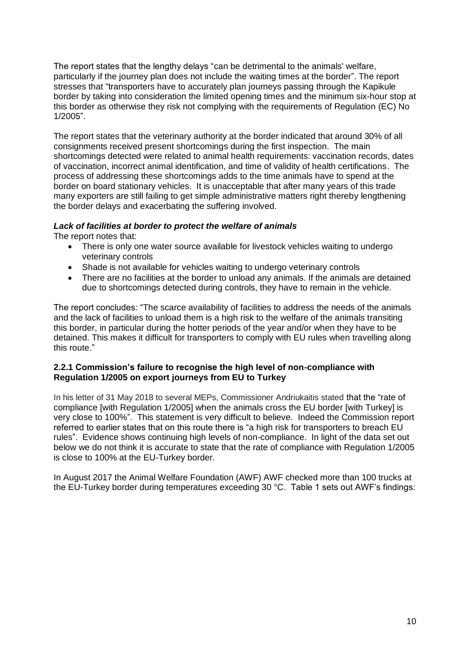The report states that the lengthy delays "can be detrimental to the animals' welfare, particularly if the journey plan does not include the waiting times at the border". The report stresses that "transporters have to accurately plan journeys passing through the Kapikule border by taking into consideration the limited opening times and the minimum six-hour stop at this border as otherwise they risk not complying with the requirements of Regulation (EC) No 1/2005".

The report states that the veterinary authority at the border indicated that around 30% of all consignments received present shortcomings during the first inspection. The main shortcomings detected were related to animal health requirements: vaccination records, dates of vaccination, incorrect animal identification, and time of validity of health certifications. The process of addressing these shortcomings adds to the time animals have to spend at the border on board stationary vehicles. It is unacceptable that after many years of this trade many exporters are still failing to get simple administrative matters right thereby lengthening the border delays and exacerbating the suffering involved.

# *Lack of facilities at border to protect the welfare of animals*

The report notes that:

- There is only one water source available for livestock vehicles waiting to undergo veterinary controls
- Shade is not available for vehicles waiting to undergo veterinary controls
- There are no facilities at the border to unload any animals. If the animals are detained due to shortcomings detected during controls, they have to remain in the vehicle.

The report concludes: "The scarce availability of facilities to address the needs of the animals and the lack of facilities to unload them is a high risk to the welfare of the animals transiting this border, in particular during the hotter periods of the year and/or when they have to be detained. This makes it difficult for transporters to comply with EU rules when travelling along this route."

## **2.2.1 Commission's failure to recognise the high level of non-compliance with Regulation 1/2005 on export journeys from EU to Turkey**

In his letter of 31 May 2018 to several MEPs, Commissioner Andriukaitis stated that the "rate of compliance [with Regulation 1/2005] when the animals cross the EU border [with Turkey] is very close to 100%". This statement is very difficult to believe. Indeed the Commission report referred to earlier states that on this route there is "a high risk for transporters to breach EU rules". Evidence shows continuing high levels of non-compliance. In light of the data set out below we do not think it is accurate to state that the rate of compliance with Regulation 1/2005 is close to 100% at the EU-Turkey border.

In August 2017 the Animal Welfare Foundation (AWF) AWF checked more than 100 trucks at the EU-Turkey border during temperatures exceeding 30 °C. Table 1 sets out AWF's findings: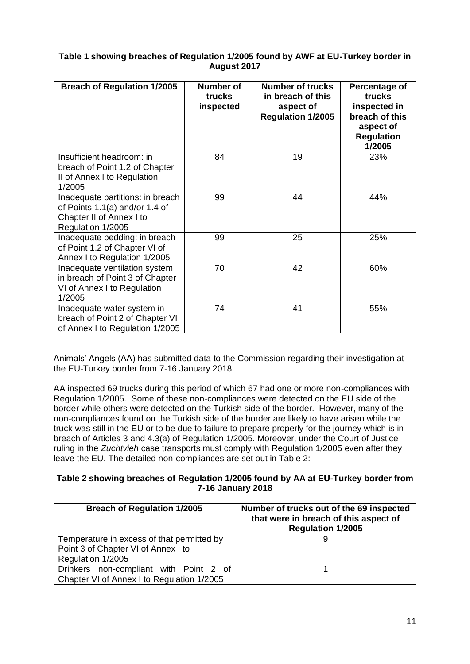## **Table 1 showing breaches of Regulation 1/2005 found by AWF at EU-Turkey border in August 2017**

| <b>Breach of Regulation 1/2005</b>                                                                                  | <b>Number of</b><br>trucks<br>inspected | <b>Number of trucks</b><br>in breach of this<br>aspect of<br><b>Regulation 1/2005</b> | Percentage of<br>trucks<br>inspected in<br>breach of this<br>aspect of<br><b>Regulation</b><br>1/2005 |
|---------------------------------------------------------------------------------------------------------------------|-----------------------------------------|---------------------------------------------------------------------------------------|-------------------------------------------------------------------------------------------------------|
| Insufficient headroom: in<br>breach of Point 1.2 of Chapter<br>II of Annex I to Regulation<br>1/2005                | 84                                      | 19                                                                                    | 23%                                                                                                   |
| Inadequate partitions: in breach<br>of Points 1.1(a) and/or 1.4 of<br>Chapter II of Annex I to<br>Regulation 1/2005 | 99                                      | 44                                                                                    | 44%                                                                                                   |
| Inadequate bedding: in breach<br>of Point 1.2 of Chapter VI of<br>Annex I to Regulation 1/2005                      | 99                                      | 25                                                                                    | 25%                                                                                                   |
| Inadequate ventilation system<br>in breach of Point 3 of Chapter<br>VI of Annex I to Regulation<br>1/2005           | 70                                      | 42                                                                                    | 60%                                                                                                   |
| Inadequate water system in<br>breach of Point 2 of Chapter VI<br>of Annex I to Regulation 1/2005                    | 74                                      | 41                                                                                    | 55%                                                                                                   |

Animals' Angels (AA) has submitted data to the Commission regarding their investigation at the EU-Turkey border from 7-16 January 2018.

AA inspected 69 trucks during this period of which 67 had one or more non-compliances with Regulation 1/2005. Some of these non-compliances were detected on the EU side of the border while others were detected on the Turkish side of the border. However, many of the non-compliances found on the Turkish side of the border are likely to have arisen while the truck was still in the EU or to be due to failure to prepare properly for the journey which is in breach of Articles 3 and 4.3(a) of Regulation 1/2005. Moreover, under the Court of Justice ruling in the *Zuchtvieh* case transports must comply with Regulation 1/2005 even after they leave the EU. The detailed non-compliances are set out in Table 2:

## **Table 2 showing breaches of Regulation 1/2005 found by AA at EU-Turkey border from 7-16 January 2018**

| <b>Breach of Regulation 1/2005</b>                                                                     | Number of trucks out of the 69 inspected<br>that were in breach of this aspect of<br><b>Regulation 1/2005</b> |
|--------------------------------------------------------------------------------------------------------|---------------------------------------------------------------------------------------------------------------|
| Temperature in excess of that permitted by<br>Point 3 of Chapter VI of Annex I to<br>Regulation 1/2005 |                                                                                                               |
| Drinkers non-compliant with Point 2 of<br>Chapter VI of Annex I to Regulation 1/2005                   |                                                                                                               |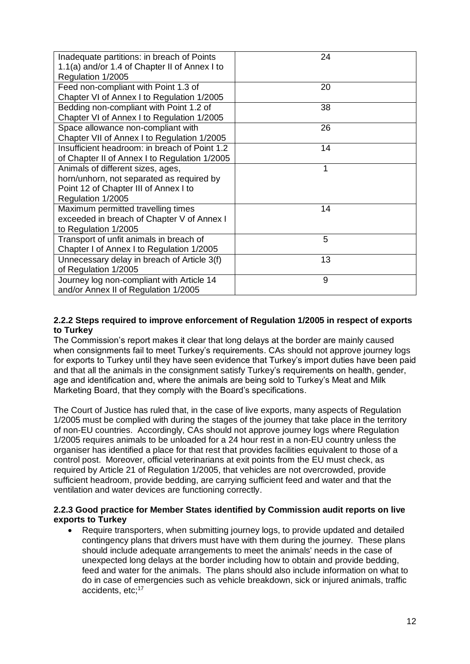| Inadequate partitions: in breach of Points<br>1.1(a) and/or 1.4 of Chapter II of Annex I to | 24 |
|---------------------------------------------------------------------------------------------|----|
| Regulation 1/2005                                                                           |    |
| Feed non-compliant with Point 1.3 of                                                        | 20 |
| Chapter VI of Annex I to Regulation 1/2005                                                  |    |
| Bedding non-compliant with Point 1.2 of                                                     | 38 |
| Chapter VI of Annex I to Regulation 1/2005                                                  |    |
| Space allowance non-compliant with                                                          | 26 |
| Chapter VII of Annex I to Regulation 1/2005                                                 |    |
| Insufficient headroom: in breach of Point 1.2                                               | 14 |
| of Chapter II of Annex I to Regulation 1/2005                                               |    |
| Animals of different sizes, ages,                                                           | 1  |
| horn/unhorn, not separated as required by                                                   |    |
| Point 12 of Chapter III of Annex I to                                                       |    |
| Regulation 1/2005                                                                           |    |
| Maximum permitted travelling times                                                          | 14 |
| exceeded in breach of Chapter V of Annex I                                                  |    |
| to Regulation 1/2005                                                                        |    |
| Transport of unfit animals in breach of                                                     | 5  |
| Chapter I of Annex I to Regulation 1/2005                                                   |    |
| Unnecessary delay in breach of Article 3(f)                                                 | 13 |
| of Regulation 1/2005                                                                        |    |
| Journey log non-compliant with Article 14                                                   | 9  |
| and/or Annex II of Regulation 1/2005                                                        |    |

## **2.2.2 Steps required to improve enforcement of Regulation 1/2005 in respect of exports to Turkey**

The Commission's report makes it clear that long delays at the border are mainly caused when consignments fail to meet Turkey's requirements. CAs should not approve journey logs for exports to Turkey until they have seen evidence that Turkey's import duties have been paid and that all the animals in the consignment satisfy Turkey's requirements on health, gender, age and identification and, where the animals are being sold to Turkey's Meat and Milk Marketing Board, that they comply with the Board's specifications.

The Court of Justice has ruled that, in the case of live exports, many aspects of Regulation 1/2005 must be complied with during the stages of the journey that take place in the territory of non-EU countries. Accordingly, CAs should not approve journey logs where Regulation 1/2005 requires animals to be unloaded for a 24 hour rest in a non-EU country unless the organiser has identified a place for that rest that provides facilities equivalent to those of a control post. Moreover, official veterinarians at exit points from the EU must check, as required by Article 21 of Regulation 1/2005, that vehicles are not overcrowded, provide sufficient headroom, provide bedding, are carrying sufficient feed and water and that the ventilation and water devices are functioning correctly.

## **2.2.3 Good practice for Member States identified by Commission audit reports on live exports to Turkey**

 Require transporters, when submitting journey logs, to provide updated and detailed contingency plans that drivers must have with them during the journey. These plans should include adequate arrangements to meet the animals' needs in the case of unexpected long delays at the border including how to obtain and provide bedding, feed and water for the animals. The plans should also include information on what to do in case of emergencies such as vehicle breakdown, sick or injured animals, traffic accidents, etc;<sup>17</sup>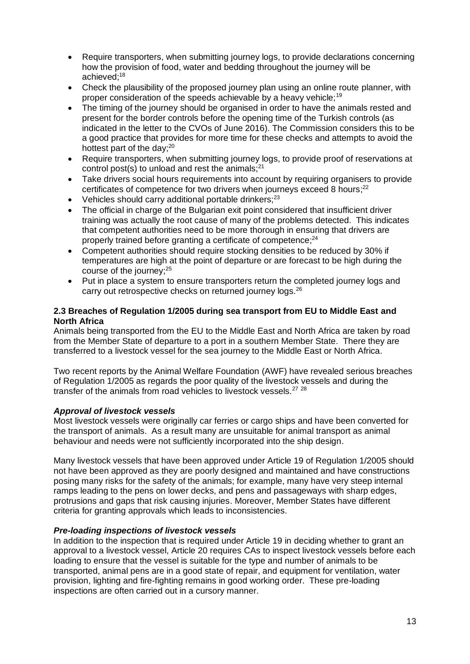- Require transporters, when submitting journey logs, to provide declarations concerning how the provision of food, water and bedding throughout the journey will be achieved;<sup>18</sup>
- Check the plausibility of the proposed journey plan using an online route planner, with proper consideration of the speeds achievable by a heavy vehicle;<sup>19</sup>
- The timing of the journey should be organised in order to have the animals rested and present for the border controls before the opening time of the Turkish controls (as indicated in the letter to the CVOs of June 2016). The Commission considers this to be a good practice that provides for more time for these checks and attempts to avoid the hottest part of the day; $20<sup>20</sup>$
- Require transporters, when submitting journey logs, to provide proof of reservations at control post(s) to unload and rest the animals; $^{21}$
- Take drivers social hours requirements into account by requiring organisers to provide certificates of competence for two drivers when journeys exceed 8 hours;<sup>22</sup>
- Vehicles should carry additional portable drinkers:<sup>23</sup>
- The official in charge of the Bulgarian exit point considered that insufficient driver training was actually the root cause of many of the problems detected. This indicates that competent authorities need to be more thorough in ensuring that drivers are properly trained before granting a certificate of competence;<sup>24</sup>
- Competent authorities should require stocking densities to be reduced by 30% if temperatures are high at the point of departure or are forecast to be high during the course of the journey;<sup>25</sup>
- Put in place a system to ensure transporters return the completed journey logs and carry out retrospective checks on returned journey logs.<sup>26</sup>

## **2.3 Breaches of Regulation 1/2005 during sea transport from EU to Middle East and North Africa**

Animals being transported from the EU to the Middle East and North Africa are taken by road from the Member State of departure to a port in a southern Member State. There they are transferred to a livestock vessel for the sea journey to the Middle East or North Africa.

Two recent reports by the Animal Welfare Foundation (AWF) have revealed serious breaches of Regulation 1/2005 as regards the poor quality of the livestock vessels and during the transfer of the animals from road vehicles to livestock vessels.<sup>27</sup> <sup>28</sup>

## *Approval of livestock vessels*

Most livestock vessels were originally car ferries or cargo ships and have been converted for the transport of animals. As a result many are unsuitable for animal transport as animal behaviour and needs were not sufficiently incorporated into the ship design.

Many livestock vessels that have been approved under Article 19 of Regulation 1/2005 should not have been approved as they are poorly designed and maintained and have constructions posing many risks for the safety of the animals; for example, many have very steep internal ramps leading to the pens on lower decks, and pens and passageways with sharp edges, protrusions and gaps that risk causing injuries. Moreover, Member States have different criteria for granting approvals which leads to inconsistencies.

## *Pre-loading inspections of livestock vessels*

In addition to the inspection that is required under Article 19 in deciding whether to grant an approval to a livestock vessel, Article 20 requires CAs to inspect livestock vessels before each loading to ensure that the vessel is suitable for the type and number of animals to be transported, animal pens are in a good state of repair, and equipment for ventilation, water provision, lighting and fire-fighting remains in good working order. These pre-loading inspections are often carried out in a cursory manner.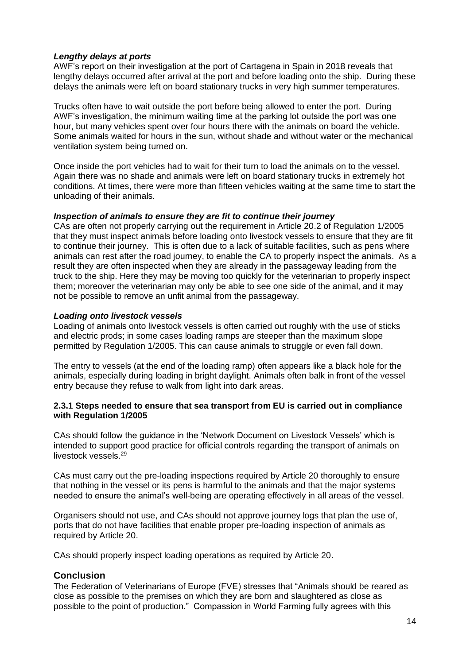## *Lengthy delays at ports*

AWF's report on their investigation at the port of Cartagena in Spain in 2018 reveals that lengthy delays occurred after arrival at the port and before loading onto the ship. During these delays the animals were left on board stationary trucks in very high summer temperatures.

Trucks often have to wait outside the port before being allowed to enter the port. During AWF's investigation, the minimum waiting time at the parking lot outside the port was one hour, but many vehicles spent over four hours there with the animals on board the vehicle. Some animals waited for hours in the sun, without shade and without water or the mechanical ventilation system being turned on.

Once inside the port vehicles had to wait for their turn to load the animals on to the vessel. Again there was no shade and animals were left on board stationary trucks in extremely hot conditions. At times, there were more than fifteen vehicles waiting at the same time to start the unloading of their animals.

## *Inspection of animals to ensure they are fit to continue their journey*

CAs are often not properly carrying out the requirement in Article 20.2 of Regulation 1/2005 that they must inspect animals before loading onto livestock vessels to ensure that they are fit to continue their journey. This is often due to a lack of suitable facilities, such as pens where animals can rest after the road journey, to enable the CA to properly inspect the animals. As a result they are often inspected when they are already in the passageway leading from the truck to the ship. Here they may be moving too quickly for the veterinarian to properly inspect them; moreover the veterinarian may only be able to see one side of the animal, and it may not be possible to remove an unfit animal from the passageway.

## *Loading onto livestock vessels*

Loading of animals onto livestock vessels is often carried out roughly with the use of sticks and electric prods; in some cases loading ramps are steeper than the maximum slope permitted by Regulation 1/2005. This can cause animals to struggle or even fall down.

The entry to vessels (at the end of the loading ramp) often appears like a black hole for the animals, especially during loading in bright daylight. Animals often balk in front of the vessel entry because they refuse to walk from light into dark areas.

#### **2.3.1 Steps needed to ensure that sea transport from EU is carried out in compliance with Regulation 1/2005**

CAs should follow the guidance in the 'Network Document on Livestock Vessels' which is intended to support good practice for official controls regarding the transport of animals on livestock vessels. 29

CAs must carry out the pre-loading inspections required by Article 20 thoroughly to ensure that nothing in the vessel or its pens is harmful to the animals and that the major systems needed to ensure the animal's well-being are operating effectively in all areas of the vessel.

Organisers should not use, and CAs should not approve journey logs that plan the use of, ports that do not have facilities that enable proper pre-loading inspection of animals as required by Article 20.

CAs should properly inspect loading operations as required by Article 20.

## **Conclusion**

The Federation of Veterinarians of Europe (FVE) stresses that "Animals should be reared as close as possible to the premises on which they are born and slaughtered as close as possible to the point of production." Compassion in World Farming fully agrees with this